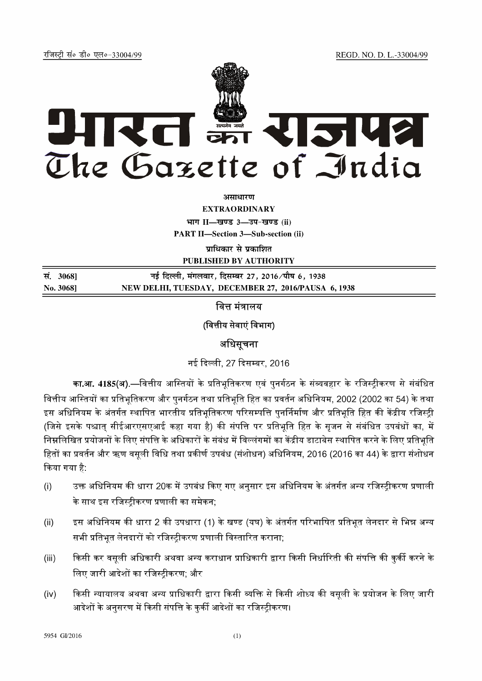REGD. NO. D. L.-33004/99

रजिस्ट्री सं० डी० एल०-33004/99



असाधारण

**EXTRAORDINARY** भाग II-खण्ड 3-उप-खण्ड (ii)

**PART II-Section 3-Sub-section (ii)** 

प्राधिकार से प्रकाशित

PUBLISHED BY AUTHORITY

नई दिल्ली, मंगलवार, दिसम्बर 27, 2016 ∕ पौष 6, 1938 सं. 3068] NEW DELHI, TUESDAY, DECEMBER 27, 2016/PAUSA 6, 1938 No. 3068]

वित्त मंत्रालय

(वित्तीय सेवाएं विभाग)

## अधिसूचना

नई दिल्ली, 27 दिसम्बर, 2016

का.आ. 4185(अ).—वित्तीय आस्तियों के प्रतिभूतिकरण एवं पुनर्गठन के संव्यवहार के रजिस्ट्रीकरण से संबंधित वित्तीय आस्तियों का प्रतिभूतिकरण और पुनर्गठन तथा प्रतिभूति हित का प्रवर्तन अधिनियम, 2002 (2002 का 54) के तथा इस अधिनियम के अंतर्गत स्थापित भारतीय प्रतिभूतिकरण परिसम्पत्ति पुनर्निर्माण और प्रतिभूति हित की केंद्रीय रजिस्टी (जिसे इसके पश्चात् सीईआरएसएआई कहा गया है) की संपत्ति पर प्रतिभूति हित के सृजन से संबंधित उपबंधों का, में निम्नलिखित प्रयोजनों के लिए संपत्ति के अधिकारों के संबंध में विल्लंगमों का केंद्रीय डाटाबेस स्थापित करने के लिए प्रतिभृति हितों का प्रवर्तन और ऋण वसूली विधि तथा प्रकीर्ण उपबंध (संशोधन) अधिनियम, 2016 (2016 का 44) के द्वारा संशोधन किया गया है:

- उक्त अधिनियम की धारा 20क में उपबंध किए गए अनुसार इस अधिनियम के अंतर्गत अन्य रजिस्ट्रीकरण प्रणाली  $(i)$ के साथ इस रजिस्टीकरण प्रणाली का समेकन:
- इस अधिनियम की धारा 2 की उपधारा (1) के खण्ड (यघ) के अंतर्गत परिभाषित प्रतिभूत लेनदार से भिन्न अन्य  $(ii)$ सभी प्रतिभूत लेनदारों को रजिस्ट्रीकरण प्रणाली विस्तारित कराना;
- किसी कर वसूली अधिकारी अथवा अन्य कराधान प्राधिकारी द्वारा किसी निर्धारिती की संपत्ति की कुर्की करने के  $(iii)$ लिए जारी आदेशों का रजिस्टीकरण: और
- किसी न्यायालय अथवा अन्य प्राधिकारी द्वारा किसी व्यक्ति से किसी शोध्य की वसूली के प्रयोजन के लिए जारी  $(iv)$ आदेशों के अनुसरण में किसी संपत्ति के कुर्की आदेशों का रजिस्टीकरण।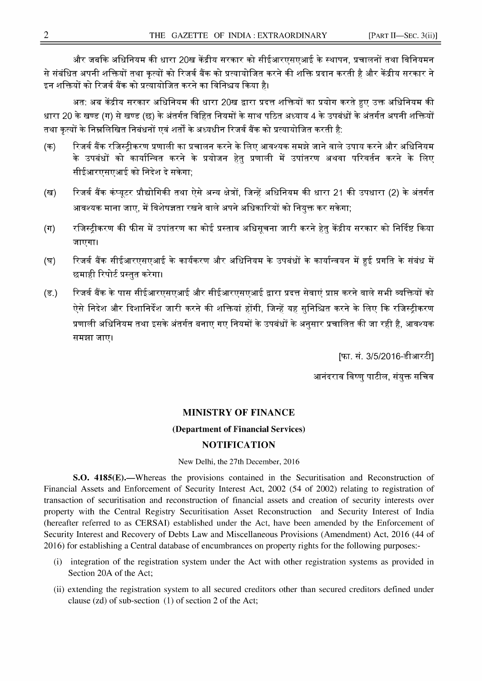और जबकि अधिनियम की धारा 20ख केंद्रीय सरकार को सीईआरएसएआई के स्थापन, प्रचालनों तथा विनियमन से संबंधित अपनी शक्तियों तथा कृत्यों को रिजर्व बैंक को प्रत्यायोजित करने की शक्ति प्रदान करती है और केंद्रीय सरकार ने इन शक्तियों को रिजर्व बैंक को प्रत्यायोजित करने का विनिश्चय किया है।

अत: अब केंद्रीय सरकार अधिनियम की धारा 20ख द्वारा प्रदत्त शक्तियों का प्रयोग करते हुए उक्त अधिनियम की धारा 20 के खण्ड (ग) से खण्ड (छ) के अंतर्गत विहित नियमों के साथ पठित अध्याय 4 के उपबंधों के अंतर्गत अपनी शक्तियों तथा कृत्यों के निम्नलिखित निबंधनों एवं शर्तों के अध्यधीन रिजर्व बैंक को प्रत्यायोजित करती है:

- (क) रिजर्व बैंक रजिस्टीकरण प्रणाली का प्रचालन करने के लिए आवश्यक समझे जाने वाले उपाय करने और अधिनियम के उपबंधों को कार्यान्वित करने के प्रयोजन हेतु प्रणाली में उपांतरण अथवा परिवर्तन करने के लिए सीईआरएसएआई को निदेश दे सकेगा;
- (ख) रिजर्व बैंक कंप्युटर प्रौद्योगिकी तथा ऐसे अन्य क्षेत्रों, जिन्हें अधिनियम की धारा 21 की उपधारा (2) के अंतर्गत आवश्यक माना जाए, में विशेषज्ञता रखने वाले अपने अधिकारियों को नियुक्त कर सकेगा;
- (ग) रजिस्ट्रीकरण की फीस में उपांतरण का कोई प्रस्ताव अधिसूचना जारी करने हेतु केंद्रीय सरकार को निर्दिष्ट किया जाएगा।
- (घ) रिजर्व बैंक सीईआरएसएआई के कार्यकरण और अधिनियम के उपबंधों के कार्यान्वयन में हुई प्रगति के संबंध में छमाही रिपोर्ट प्रस्तुत करेगा।
- (ड.) रिजर्व बैंक के पास सीईआरएसएआई और सीईआरएसएआई द्वारा प्रदत्त सेवाएं प्राप्त करने वाले सभी व्यक्तियों को ऐसे निदेश और दिशानिर्देश जारी करने की शक्तियां होंगी, जिन्हें यह सुनिश्चित करने के लिए कि रजिस्ट्रीकरण प्रणाली अधिनियम तथा इसके अंतर्गत बनाए गए नियमों के उपबंधों के अनुसार प्रचालित की जा रही है, आवश्यक समझा जाए।

[फा. सं. 3/5/2016-डीआरटी]

आनंदराव विष्णु पाटील, संयुक्त सचिव

## MINISTRY OF FINANCE

## (Department of Financial Services)

## NOTIFICATION

New Delhi, the 27th December, 2016

8.0. 4185(E).—Whereas the provisions contained in the Securitisation and Reconstruction of Financial Assets and Enforcement of Security Interest Act, 2002 (54 of 2002) relating to registration of transaction of securitisation and reconstruction of financial assets and creation of security interests over property with the Central Registry Securitisation Asset Reconstruction and Security Interest of India (hereafter referred to as CERSAI) established under the Act, have been amended by the Enforcement of Security Interest and Recovery of Debts Law and Miscellaneous Provisions (Amendment) Act, 2016 (44 of 2016) for establishing <sup>a</sup> Central database of encumbrances on property rights for the following purposes:-

- (i) integration of the registration system under the Act with other registration systems as provided in Section 20A of the Act;
- (ii) extending the registration system to all secured creditors other than secured creditors defined under clause (zd) of sub-section (1) of section <sup>2</sup> of the Act;